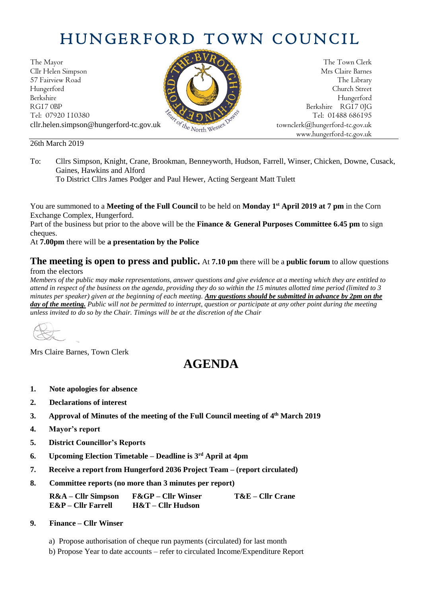# HUNGERFORD TOWN COUNCIL

The Mayor The Town Clerk Cllr Helen Simpson Mrs Claire Barnes 57 Fairview Road The Library (Contact The Library Church Street Hungerford Church Street Berkshire Hungerford RG17 0BP Berkshire RG17 0JG Tel: 07920 110380<br>cllr.helen.simpson@hungerford-tc.gov.uk cllr.helen.simpson@hungerford-tc.gov.uk [townclerk@hungerford-tc.gov.uk](mailto:townclerk@hungerford-tc.gov.uk)

26th March 2019



To District Cllrs James Podger and Paul Hewer, Acting Sergeant Matt Tulett

You are summoned to a **Meeting of the Full Council** to be held on **Monday 1 st April 2019 at 7 pm** in the Corn Exchange Complex, Hungerford.

Part of the business but prior to the above will be the **Finance & General Purposes Committee 6.45 pm** to sign cheques.

At **7.00pm** there will be **a presentation by the Police**

### **The meeting is open to press and public.** At **7.10 pm** there will be a **public forum** to allow questions from the electors

*Members of the public may make representations, answer questions and give evidence at a meeting which they are entitled to attend in respect of the business on the agenda, providing they do so within the 15 minutes allotted time period (limited to 3 minutes per speaker) given at the beginning of each meeting. Any questions should be submitted in advance by 2pm on the day of the meeting. Public will not be permitted to interrupt, question or participate at any other point during the meeting unless invited to do so by the Chair. Timings will be at the discretion of the Chair*

Mrs Claire Barnes, Town Clerk

## **AGENDA**

- **1. Note apologies for absence**
- **2. Declarations of interest**
- **3. Approval of Minutes of the meeting of the Full Council meeting of 4 th March 2019**
- **4. Mayor's report**
- **5. District Councillor's Reports**
- **6. Upcoming Election Timetable – Deadline is 3rd April at 4pm**
- **7. Receive a report from Hungerford 2036 Project Team – (report circulated)**
- **8. Committee reports (no more than 3 minutes per report)**

**R&A – Cllr Simpson F&GP – Cllr Winser T&E – Cllr Crane E&P – Cllr Farrell H&T – Cllr Hudson**

- **9. Finance – Cllr Winser**
	- a) Propose authorisation of cheque run payments (circulated) for last month
	- b) Propose Year to date accounts refer to circulated Income/Expenditure Report



www.hungerford-tc.gov.uk